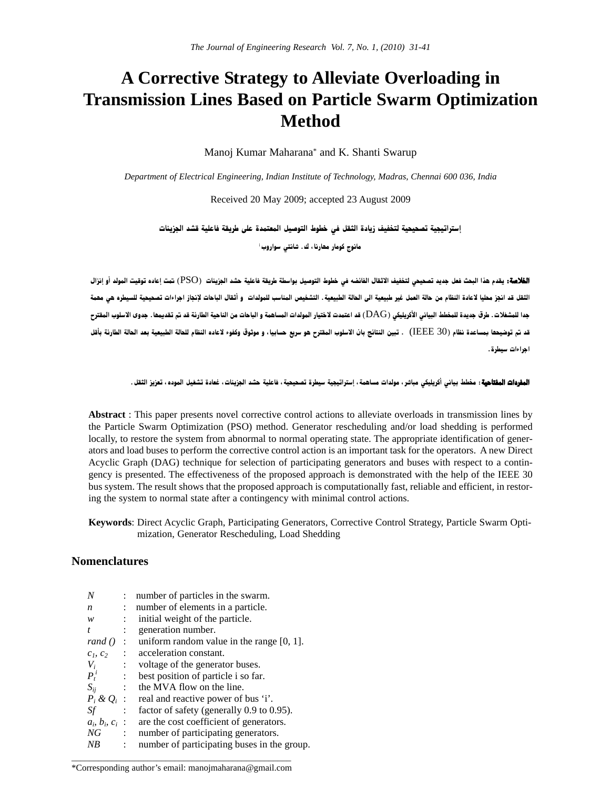# **A Corrective Strategy to Alleviate Overloading in Transmission Lines Based on Particle Swarm Optimization Method**

Manoj Kumar Maharana\* and K. Shanti Swarup

*Department of Electrical Engineering, Indian Institute of Technology, Madras, Chennai 600 036, India*

Received 20 May 2009; accepted 23 August 2009

إستراتيجية تصحيحية لتخفيف زيادة الثقل في خطوط التوصيل المعتمدة على طريقة فاعلية قشد الجزيئات

مانوج کومار مھارنا ، ك . شانتى سواروب<sup>،</sup>

ا**لفلاصة:** يقدم هذا البحث فعل جديد تصحيحي لتغفيف الاثقال الفائضه في خطوط التوصيل بواسطة طريقة فاعلية حشد الجزيئات (PSO) تمت إعاده توقيت المولد أو إنزال الثقل قد انجز مطيا لاعادة النظام من حالة العمل غير طبيعية الى الحالة الطبيعية. التشخيص المناسب للمولدات و أثقال الباحات لإنجاز اجراءات تصحيحية للسيطره هي مهمة جدا للمشغلات. طرق جديدة للمخطط البياني الأكريليكي (DAG) قد اعتمدت لاختيار المولدات المساهمة و الباحات من الناحية الطارئة قد تم تقديمها. جدوى الاسلوب المقترح قد تم توضيحها بمساعدة نظام (IEEE 30) . تبين النتائج بان الاسلوب المقترح هو سريع حسابيا، و موثوق وكفوء لاعاده النظام للحالة الطبيعية بعد الحالة الطارنة بأقل احراءات سيطرة .

ا**لمفردات المفتاهية** : مخطط بياني أكريليكي مباشر ، مولدات مساهمة ، إستراتيجية سيطرة تصحيحية ، فاعلية حشد الجزيئات ، غعادة تشغيل الموده ، تعزيز الثقل .

**Abstract** : This paper presents novel corrective control actions to alleviate overloads in transmission lines by the Particle Swarm Optimization (PSO) method. Generator rescheduling and/or load shedding is performed locally, to restore the system from abnormal to normal operating state. The appropriate identification of generators and load buses to perform the corrective control action is an important task for the operators. A new Direct Acyclic Graph (DAG) technique for selection of participating generators and buses with respect to a contingency is presented. The effectiveness of the proposed approach is demonstrated with the help of the IEEE 30 bus system. The result shows that the proposed approach is computationally fast, reliable and efficient, in restoring the system to normal state after a contingency with minimal control actions.

**Keywords**: Direct Acyclic Graph, Participating Generators, Corrective Control Strategy, Particle Swarm Optimization, Generator Rescheduling, Load Shedding

# **Nomenclatures**

| N                       |                      | number of particles in the swarm.            |
|-------------------------|----------------------|----------------------------------------------|
| n                       | $\ddot{\phantom{0}}$ | number of elements in a particle.            |
| w                       |                      | initial weight of the particle.              |
| t.                      | $\ddot{\phantom{a}}$ | generation number.                           |
| rand $()$               | $\mathcal{L}$        | uniform random value in the range $[0, 1]$ . |
| $c_1, c_2$              | $\cdot$ :            | acceleration constant.                       |
| $V_i$                   | ÷                    | voltage of the generator buses.              |
| $P_t^i$                 | ÷                    | best position of particle i so far.          |
| $S_{ii}$                |                      | the MVA flow on the line.                    |
| $P_i \& Q_i$ :          |                      | real and reactive power of bus 'i'.          |
| Sf                      | $\mathbb{R}^n$       | factor of safety (generally 0.9 to 0.95).    |
| $a_i$ , $b_i$ , $c_i$ : |                      | are the cost coefficient of generators.      |
| NG                      | $\ddot{\phantom{0}}$ | number of participating generators.          |
| NB                      | ÷                    | number of participating buses in the group.  |
|                         |                      |                                              |

\_\_\_\_\_\_\_\_\_\_\_\_\_\_\_\_\_\_\_\_\_\_\_\_\_\_\_\_\_\_\_\_\_\_\_\_\_\_\_\_\_\_\_\_\_\_\_\_\_ \*Corresponding author's email: manojmaharana@gmail.com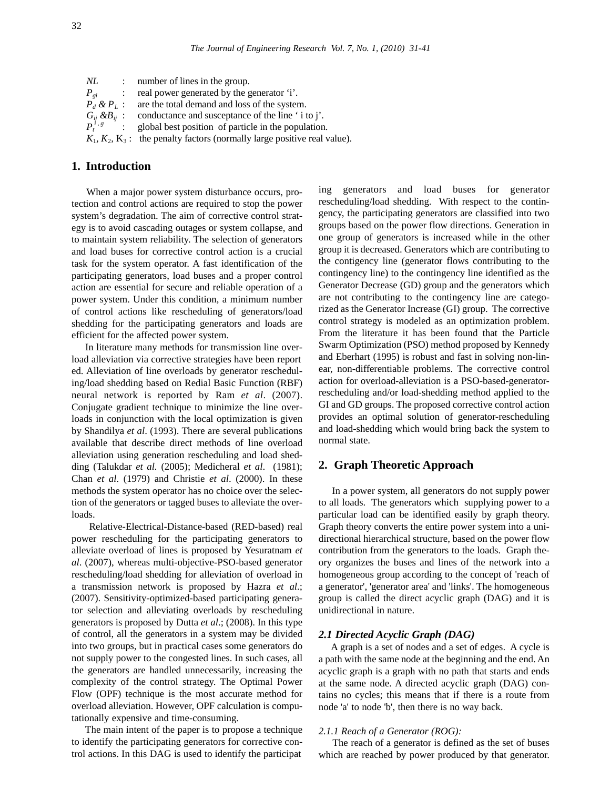| NL       |                            | : number of lines in the group.                                                                                                                   |
|----------|----------------------------|---------------------------------------------------------------------------------------------------------------------------------------------------|
| $P_{gi}$ | $\mathcal{L}^{\text{max}}$ | real power generated by the generator 'i'.                                                                                                        |
|          |                            | $P_d \& P_L$ : are the total demand and loss of the system.                                                                                       |
|          |                            | $G_{ij} \& B_{ij}$ : conductance and susceptance of the line ' i to j'.<br>$P_i^{i \cdot g}$ : global best position of particle in the population |
|          |                            | global best position of particle in the population.                                                                                               |
|          |                            | $K_1, K_2, K_3$ : the penalty factors (normally large positive real value).                                                                       |

# **1. Introduction**

When a major power system disturbance occurs, protection and control actions are required to stop the power system's degradation. The aim of corrective control strategy is to avoid cascading outages or system collapse, and to maintain system reliability. The selection of generators and load buses for corrective control action is a crucial task for the system operator. A fast identification of the participating generators, load buses and a proper control action are essential for secure and reliable operation of a power system. Under this condition, a minimum number of control actions like rescheduling of generators/load shedding for the participating generators and loads are efficient for the affected power system.

In literature many methods for transmission line overload alleviation via corrective strategies have been report ed. Alleviation of line overloads by generator rescheduling/load shedding based on Redial Basic Function (RBF) neural network is reported by Ram *et al*. (2007). Conjugate gradient technique to minimize the line overloads in conjunction with the local optimization is given by Shandilya *et al*. (1993). There are several publications available that describe direct methods of line overload alleviation using generation rescheduling and load shedding (Talukdar *et al.* (2005); Medicheral *et al*. (1981); Chan *et al*. (1979) and Christie *et al*. (2000). In these methods the system operator has no choice over the selection of the generators or tagged buses to alleviate the overloads.

Relative-Electrical-Distance-based (RED-based) real power rescheduling for the participating generators to alleviate overload of lines is proposed by Yesuratnam *et al*. (2007), whereas multi-objective-PSO-based generator rescheduling/load shedding for alleviation of overload in a transmission network is proposed by Hazra *et al*.; (2007). Sensitivity-optimized-based participating generator selection and alleviating overloads by rescheduling generators is proposed by Dutta *et al*.; (2008). In this type of control, all the generators in a system may be divided into two groups, but in practical cases some generators do not supply power to the congested lines. In such cases, all the generators are handled unnecessarily, increasing the complexity of the control strategy. The Optimal Power Flow (OPF) technique is the most accurate method for overload alleviation. However, OPF calculation is computationally expensive and time-consuming.

The main intent of the paper is to propose a technique to identify the participating generators for corrective control actions. In this DAG is used to identify the participat

ing generators and load buses for generator rescheduling/load shedding. With respect to the contingency, the participating generators are classified into two groups based on the power flow directions. Generation in one group of generators is increased while in the other group it is decreased. Generators which are contributing to the contigency line (generator flows contributing to the contingency line) to the contingency line identified as the Generator Decrease (GD) group and the generators which are not contributing to the contingency line are categorized as the Generator Increase (GI) group. The corrective control strategy is modeled as an optimization problem. From the literature it has been found that the Particle Swarm Optimization (PSO) method proposed by Kennedy and Eberhart (1995) is robust and fast in solving non-linear, non-differentiable problems. The corrective control action for overload-alleviation is a PSO-based-generatorrescheduling and/or load-shedding method applied to the GI and GD groups. The proposed corrective control action provides an optimal solution of generator-rescheduling and load-shedding which would bring back the system to normal state.

# **2. Graph Theoretic Approach**

In a power system, all generators do not supply power to all loads. The generators which supplying power to a particular load can be identified easily by graph theory. Graph theory converts the entire power system into a unidirectional hierarchical structure, based on the power flow contribution from the generators to the loads. Graph theory organizes the buses and lines of the network into a homogeneous group according to the concept of 'reach of a generator', 'generator area' and 'links'. The homogeneous group is called the direct acyclic graph (DAG) and it is unidirectional in nature.

# *2.1 Directed Acyclic Graph (DAG)*

A graph is a set of nodes and a set of edges. A cycle is a path with the same node at the beginning and the end. An acyclic graph is a graph with no path that starts and ends at the same node. A directed acyclic graph (DAG) contains no cycles; this means that if there is a route from node 'a' to node 'b', then there is no way back.

#### *2.1.1 Reach of a Generator (ROG):*

The reach of a generator is defined as the set of buses which are reached by power produced by that generator.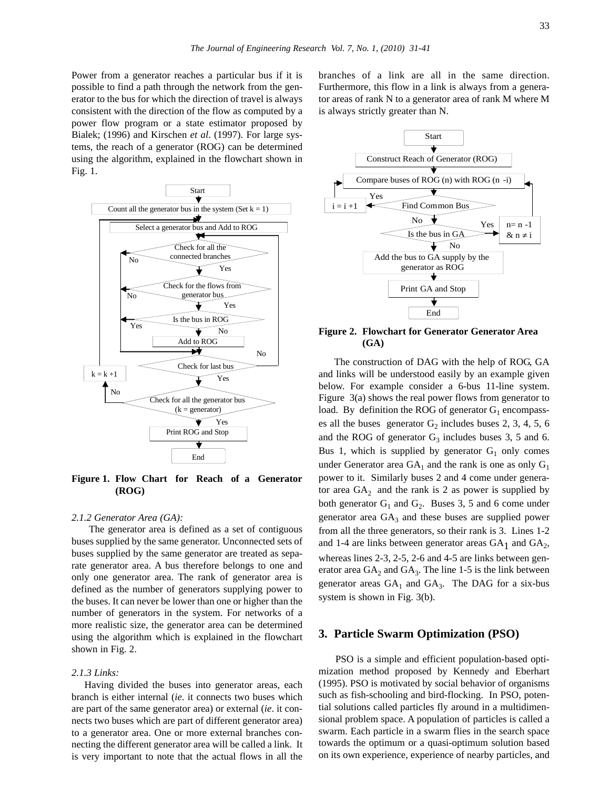Power from a generator reaches a particular bus if it is possible to find a path through the network from the generator to the bus for which the direction of travel is always consistent with the direction of the flow as computed by a power flow program or a state estimator proposed by Bialek; (1996) and Kirschen *et al*. (1997). For large systems, the reach of a generator (ROG) can be determined using the algorithm, explained in the flowchart shown in Fig. 1.



**Figure 1. Flow Chart for Reach of a Generator (ROG)**

#### *2.1.2 Generator Area (GA):*

The generator area is defined as a set of contiguous buses supplied by the same generator. Unconnected sets of buses supplied by the same generator are treated as separate generator area. A bus therefore belongs to one and only one generator area. The rank of generator area is defined as the number of generators supplying power to the buses. It can never be lower than one or higher than the number of generators in the system. For networks of a more realistic size, the generator area can be determined using the algorithm which is explained in the flowchart shown in Fig. 2.

### *2.1.3 Links:*

Having divided the buses into generator areas, each branch is either internal (*ie*. it connects two buses which are part of the same generator area) or external (*ie*. it connects two buses which are part of different generator area) to a generator area. One or more external branches connecting the different generator area will be called a link. It is very important to note that the actual flows in all the branches of a link are all in the same direction. Furthermore, this flow in a link is always from a generator areas of rank N to a generator area of rank M where M is always strictly greater than N.



**Figure 2. Flowchart for Generator Generator Area (GA)**

The construction of DAG with the help of ROG, GA and links will be understood easily by an example given below. For example consider a 6-bus 11-line system. Figure 3(a) shows the real power flows from generator to load. By definition the ROG of generator  $G_1$  encompasses all the buses generator  $G_2$  includes buses 2, 3, 4, 5, 6 and the ROG of generator  $G_3$  includes buses 3, 5 and 6. Bus 1, which is supplied by generator  $G_1$  only comes under Generator area  $GA_1$  and the rank is one as only  $G_1$ power to it. Similarly buses 2 and 4 come under generator area  $GA_2$  and the rank is 2 as power is supplied by both generator  $G_1$  and  $G_2$ . Buses 3, 5 and 6 come under generator area  $GA_3$  and these buses are supplied power from all the three generators, so their rank is 3. Lines 1-2 and 1-4 are links between generator areas  $GA_1$  and  $GA_2$ , whereas lines 2-3, 2-5, 2-6 and 4-5 are links between generator area  $GA_2$  and  $GA_3$ . The line 1-5 is the link between generator areas  $GA_1$  and  $GA_3$ . The DAG for a six-bus system is shown in Fig. 3(b).

#### **3. Particle Swarm Optimization (PSO)**

PSO is a simple and efficient population-based optimization method proposed by Kennedy and Eberhart (1995). PSO is motivated by social behavior of organisms such as fish-schooling and bird-flocking. In PSO, potential solutions called particles fly around in a multidimensional problem space. A population of particles is called a swarm. Each particle in a swarm flies in the search space towards the optimum or a quasi-optimum solution based on its own experience, experience of nearby particles, and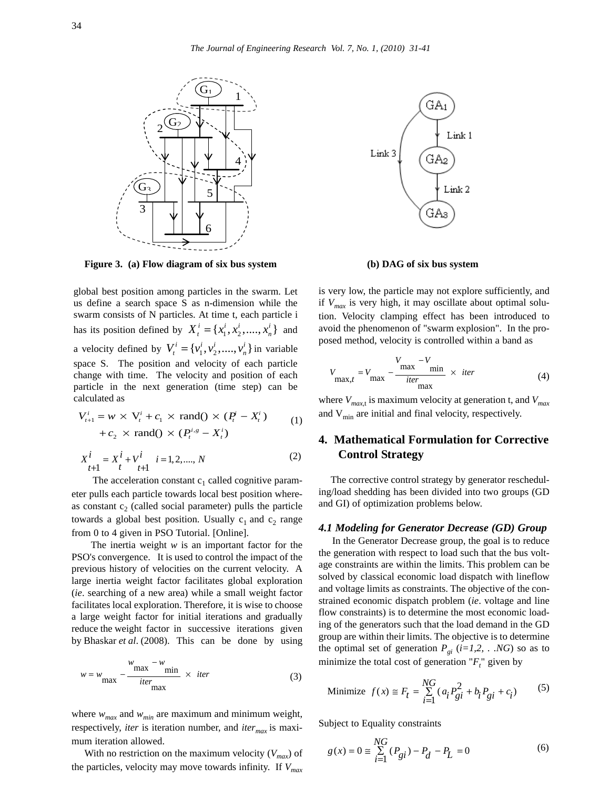

**Figure 3. (a) Flow diagram of six bus system (b) DAG of six bus system**

global best position among particles in the swarm. Let us define a search space S as n-dimension while the swarm consists of N particles. At time t, each particle i has its position defined by  $X_i^i = \{x_1^i, x_2^i, ..., x_n^i\}$  and a velocity defined by  $V_t^i = \{v_1^i, v_2^i, ..., v_n^i\}$  in variable space S. The position and velocity of each particle change with time. The velocity and position of each particle in the next generation (time step) can be calculated as

$$
V_{t+1}^i = w \times V_t^i + c_1 \times \text{rand()} \times (P_t^i - X_t^i)
$$
  
+ 
$$
c_2 \times \text{rand()} \times (P_t^{i,s} - X_t^i)
$$
 (1)

$$
X_{t+1}^i = X_t^i + V_{t+1}^i \quad i = 1, 2, \dots, N
$$
 (2)

The acceleration constant  $c_1$  called cognitive parameter pulls each particle towards local best position whereas constant  $c_2$  (called social parameter) pulls the particle towards a global best position. Usually  $c_1$  and  $c_2$  range from 0 to 4 given in PSO Tutorial. [Online].

The inertia weight *w* is an important factor for the PSO's convergence. It is used to control the impact of the previous history of velocities on the current velocity. A large inertia weight factor facilitates global exploration (*ie*. searching of a new area) while a small weight factor facilitates local exploration. Therefore, it is wise to choose a large weight factor for initial iterations and gradually reduce the weight factor in successive iterations given by Bhaskar *et al*. (2008). This can be done by using

$$
w = w_{\text{max}} - \frac{w_{\text{max}} - w_{\text{min}}}{iter_{\text{max}}} \times iter
$$
 (3)

where  $w_{max}$  and  $w_{min}$  are maximum and minimum weight, respectively, *iter* is iteration number, and *iter<sub>max</sub>* is maximum iteration allowed.

With no restriction on the maximum velocity  $(V_{max})$  of the particles, velocity may move towards infinity. If *Vmax*



is very low, the particle may not explore sufficiently, and if *Vmax* is very high, it may oscillate about optimal solution. Velocity clamping effect has been introduced to avoid the phenomenon of "swarm explosion". In the proposed method, velocity is controlled within a band as

$$
V_{\max, t} = V_{\max} - \frac{V_{\max} - V_{\min}}{iter_{\max}} \times iter
$$
 (4)

where  $V_{max,t}$  is maximum velocity at generation t, and  $V_{max}$ and  $V_{\text{min}}$  are initial and final velocity, respectively.

# **4. Mathematical Formulation for Corrective Control Strategy**

The corrective control strategy by generator rescheduling/load shedding has been divided into two groups (GD and GI) of optimization problems below.

#### *4.1 Modeling for Generator Decrease (GD) Group*

In the Generator Decrease group, the goal is to reduce the generation with respect to load such that the bus voltage constraints are within the limits. This problem can be solved by classical economic load dispatch with lineflow and voltage limits as constraints. The objective of the constrained economic dispatch problem (*ie*. voltage and line flow constraints) is to determine the most economic loading of the generators such that the load demand in the GD group are within their limits. The objective is to determine the optimal set of generation  $P_{gi}$  ( $i=1,2, \ldots NG$ ) so as to minimize the total cost of generation  $"F_t"$  given by

Minimize 
$$
f(x) \approx F_t = \sum_{i=1}^{NG} (a_i P_{gi}^2 + b_i P_{gi} + c_i)
$$
 (5)

Subject to Equality constraints

$$
g(x) = 0 \approx \sum_{i=1}^{NG} (P_{gi}) - P_d - P_L = 0
$$
 (6)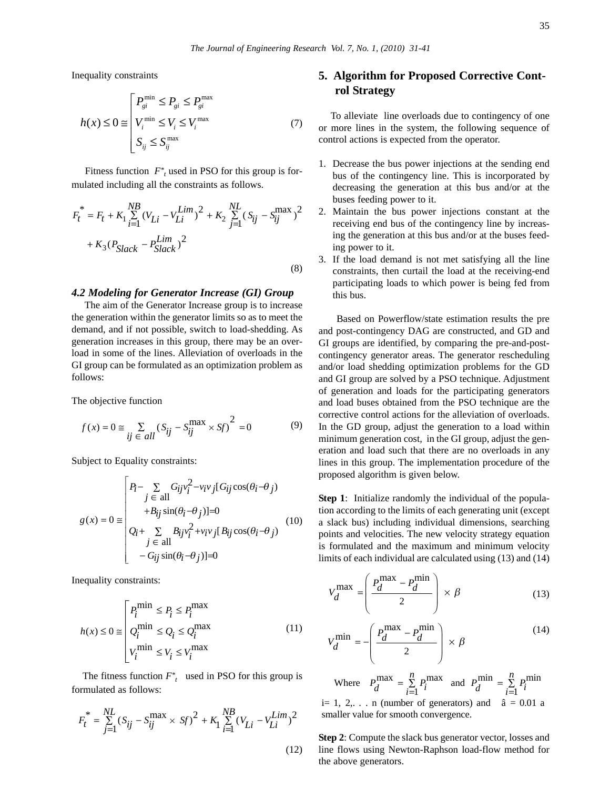Inequality constraints

$$
h(x) \leq 0 \cong \begin{bmatrix} P_{gi}^{\min} \leq P_{gi} \leq P_{gi}^{\max} \\ V_i^{\min} \leq V_i \leq V_i^{\max} \\ S_{ij} \leq S_{ij}^{\max} \end{bmatrix} \tag{7}
$$

Fitness function  $F^*$ <sub>t</sub> used in PSO for this group is formulated including all the constraints as follows.

$$
F_t^* = F_t + K_1 \sum_{i=1}^{NB} (V_{Li} - V_{Li}^{Lim})^2 + K_2 \sum_{j=1}^{NL} (S_{ij} - S_{ij}^{max})^2
$$
  
+  $K_3 (P_{Slack} - P_{Slack}^{\text{Lim}})^2$  (8)

#### *4.2 Modeling for Generator Increase (GI) Group*

The aim of the Generator Increase group is to increase the generation within the generator limits so as to meet the demand, and if not possible, switch to load-shedding. As generation increases in this group, there may be an overload in some of the lines. Alleviation of overloads in the GI group can be formulated as an optimization problem as follows:

The objective function

$$
f(x) = 0 \approx \sum_{ij \in all} (S_{ij} - S_{ij}^{\text{max}} \times \text{Sf})^2 = 0
$$
 (9)

Subject to Equality constraints:

$$
g(x) = 0 \equiv \begin{pmatrix} P_i - \sum_{j \in all} G_{ij} v_i^2 - v_i v_j [G_{ij} \cos(\theta_i - \theta_j)] \\ + B_{ij} \sin(\theta_i - \theta_j)] = 0 \\ Q_i + \sum_{j \in all} B_{ij} v_i^2 + v_i v_j [B_{ij} \cos(\theta_i - \theta_j)] \\ - G_{ij} \sin(\theta_i - \theta_j)] = 0 \end{pmatrix}
$$
(10)

Inequality constraints:

$$
h(x) \le 0 \equiv \begin{cases} P_i^{\min} \le P_i \le P_i^{\max} \\ Q_i^{\min} \le Q_i \le Q_i^{\max} \\ V_i^{\min} \le V_i \le V_i^{\max} \end{cases}
$$
(11)

The fitness function  $F^*$ <sub>t</sub> used in PSO for this group is formulated as follows:

$$
F_t^* = \sum_{j=1}^{NL} (S_{ij} - S_{ij}^{\text{max}} \times \text{Sf})^2 + K_1 \sum_{i=1}^{NB} (V_{Li} - V_{Li}^{Lim})^2
$$
\n(12)

# **5. Algorithm for Proposed Corrective Control Strategy**

To alleviate line overloads due to contingency of one or more lines in the system, the following sequence of control actions is expected from the operator.

- 1. Decrease the bus power injections at the sending end bus of the contingency line. This is incorporated by decreasing the generation at this bus and/or at the buses feeding power to it.
- 2. Maintain the bus power injections constant at the receiving end bus of the contingency line by increasing the generation at this bus and/or at the buses feeding power to it.
- 3. If the load demand is not met satisfying all the line constraints, then curtail the load at the receiving-end participating loads to which power is being fed from this bus.

Based on Powerflow/state estimation results the pre and post-contingency DAG are constructed, and GD and GI groups are identified, by comparing the pre-and-postcontingency generator areas. The generator rescheduling and/or load shedding optimization problems for the GD and GI group are solved by a PSO technique. Adjustment of generation and loads for the participating generators and load buses obtained from the PSO technique are the corrective control actions for the alleviation of overloads. In the GD group, adjust the generation to a load within minimum generation cost, in the GI group, adjust the generation and load such that there are no overloads in any lines in this group. The implementation procedure of the proposed algorithm is given below.

**Step 1**: Initialize randomly the individual of the population according to the limits of each generating unit (except a slack bus) including individual dimensions, searching points and velocities. The new velocity strategy equation is formulated and the maximum and minimum velocity limits of each individual are calculated using (13) and (14)

$$
V_d^{\max} = \left(\frac{P_d^{\max} - P_d^{\min}}{2}\right) \times \beta \tag{13}
$$

$$
V_d^{\min} = -\left(\frac{P_d^{\max} - P_d^{\min}}{2}\right) \times \beta \tag{14}
$$

Where  $P_d^{\text{max}} = \sum_{i=1}^{n} P_i^{\text{max}}$  $P_d^{\text{max}} = \sum_{i=1}^n P_i$  $=\sum_{i=1}^{n} P_i^{\text{max}}$  and  $P_d^{\text{min}} = \sum_{i=1}^{n} P_i^{\text{min}}$  $=\sum_{i=1} P_i^{\rm mm}$ i= 1, 2,... n (number of generators) and  $\hat{a} = 0.01$  a

smaller value for smooth convergence.

**Step 2**: Compute the slack bus generator vector, losses and line flows using Newton-Raphson load-flow method for the above generators.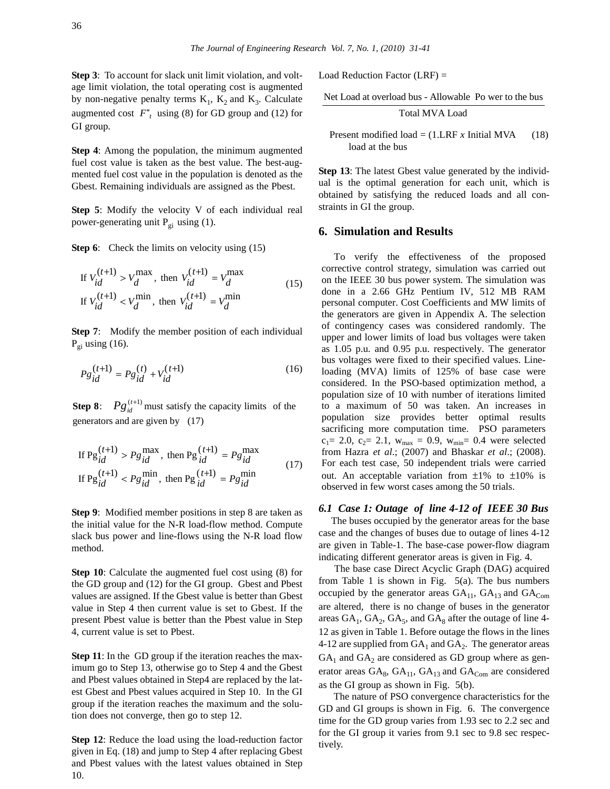**Step 3**: To account for slack unit limit violation, and voltage limit violation, the total operating cost is augmented by non-negative penalty terms  $K_1$ ,  $K_2$  and  $K_3$ . Calculate augmented cost  $F^*$ <sub>t</sub> using (8) for GD group and (12) for GI group.

**Step 4**: Among the population, the minimum augmented fuel cost value is taken as the best value. The best-augmented fuel cost value in the population is denoted as the Gbest. Remaining individuals are assigned as the Pbest.

**Step 5**: Modify the velocity V of each individual real power-generating unit  $P_{gi}$  using (1).

**Step 6**: Check the limits on velocity using (15)

If 
$$
V_{id}^{(t+1)} > V_d^{\text{max}}
$$
, then  $V_{id}^{(t+1)} = V_d^{\text{max}}$   
If  $V_{id}^{(t+1)} < V_d^{\text{min}}$ , then  $V_{id}^{(t+1)} = V_d^{\text{min}}$  (15)

**Step 7:** Modify the member position of each individual  $P_{qi}$  using (16).

$$
P g_{id}^{(t+1)} = P g_{id}^{(t)} + V_{id}^{(t+1)}
$$
 (16)

**Step 8**:  $Pg_{id}^{(t+1)}$  must satisfy the capacity limits of the generators and are given by (17)

If 
$$
Pg_{id}^{(t+1)} > Pg_{id}^{\max}
$$
, then  $Pg_{id}^{(t+1)} = Pg_{id}^{\max}$   
If  $Pg_{id}^{(t+1)} < Pg_{id}^{\min}$ , then  $Pg_{id}^{(t+1)} = Pg_{id}^{\min}$  (17)

**Step 9**: Modified member positions in step 8 are taken as the initial value for the N-R load-flow method. Compute slack bus power and line-flows using the N-R load flow method.

**Step 10**: Calculate the augmented fuel cost using (8) for the GD group and (12) for the GI group. Gbest and Pbest values are assigned. If the Gbest value is better than Gbest value in Step 4 then current value is set to Gbest. If the present Pbest value is better than the Pbest value in Step 4, current value is set to Pbest.

**Step 11**: In the GD group if the iteration reaches the maximum go to Step 13, otherwise go to Step 4 and the Gbest and Pbest values obtained in Step4 are replaced by the latest Gbest and Pbest values acquired in Step 10. In the GI group if the iteration reaches the maximum and the solution does not converge, then go to step 12.

**Step 12**: Reduce the load using the load-reduction factor given in Eq. (18) and jump to Step 4 after replacing Gbest and Pbest values with the latest values obtained in Step 10.

Load Reduction Factor (LRF) =

Net Load at overload bus - Allowable Po wer to the bus

Total MVA Load

Present modified load  $= (1.LRF x \text{ Initial MVA}$  (18) load at the bus

**Step 13:** The latest Gbest value generated by the individual is the optimal generation for each unit, which is obtained by satisfying the reduced loads and all constraints in GI the group.

### **6. Simulation and Results**

 To verify the effectiveness of the proposed corrective control strategy, simulation was carried out on the IEEE 30 bus power system. The simulation was done in a 2.66 GHz Pentium IV, 512 MB RAM personal computer. Cost Coefficients and MW limits of the generators are given in Appendix A. The selection of contingency cases was considered randomly. The upper and lower limits of load bus voltages were taken as 1.05 p.u. and 0.95 p.u. respectively. The generator bus voltages were fixed to their specified values. Lineloading (MVA) limits of 125% of base case were considered. In the PSO-based optimization method, a population size of 10 with number of iterations limited to a maximum of 50 was taken. An increases in population size provides better optimal results sacrificing more computation time. PSO parameters  $c_1= 2.0, c_2= 2.1, w_{max} = 0.9, w_{min}= 0.4$  were selected from Hazra *et al*.; (2007) and Bhaskar *et al*.; (2008). For each test case, 50 independent trials were carried out. An acceptable variation from  $\pm 1\%$  to  $\pm 10\%$  is observed in few worst cases among the 50 trials.

### *6.1 Case 1: Outage of line 4-12 of IEEE 30 Bus*

The buses occupied by the generator areas for the base case and the changes of buses due to outage of lines 4-12 are given in Table-1. The base-case power-flow diagram indicating different generator areas is given in Fig. 4.

The base case Direct Acyclic Graph (DAG) acquired from Table 1 is shown in Fig.  $5(a)$ . The bus numbers occupied by the generator areas  $GA<sub>11</sub>$ ,  $GA<sub>13</sub>$  and  $GA<sub>Com</sub>$ are altered, there is no change of buses in the generator areas  $GA_1$ ,  $GA_2$ ,  $GA_5$ , and  $GA_8$  after the outage of line 4-12 as given in Table 1. Before outage the flows in the lines 4-12 are supplied from  $GA_1$  and  $GA_2$ . The generator areas  $GA<sub>1</sub>$  and  $GA<sub>2</sub>$  are considered as GD group where as generator areas  $GA_8$ ,  $GA_{11}$ ,  $GA_{13}$  and  $GA_{Com}$  are considered as the GI group as shown in Fig. 5(b).

The nature of PSO convergence characteristics for the GD and GI groups is shown in Fig. 6. The convergence time for the GD group varies from 1.93 sec to 2.2 sec and for the GI group it varies from 9.1 sec to 9.8 sec respectively.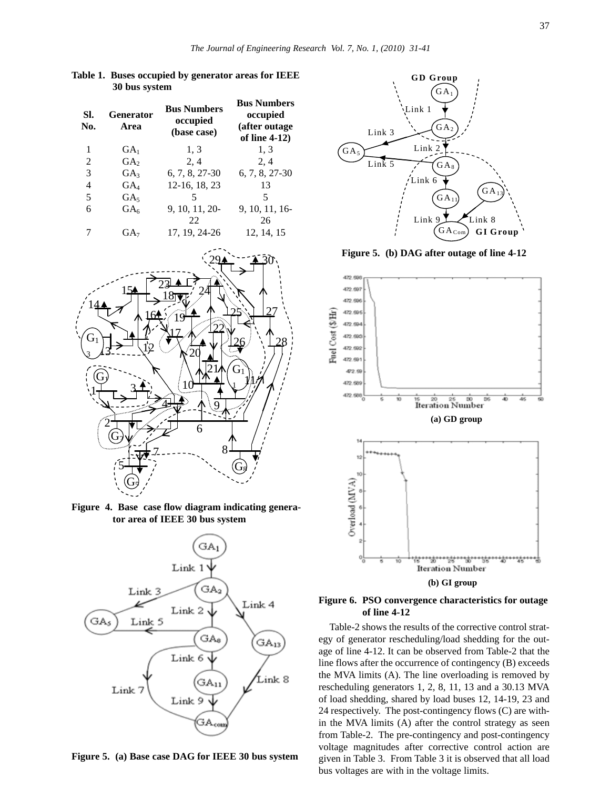| SI.<br>No. | <b>Generator</b><br>Area | <b>Bus Numbers</b><br>occupied<br>(base case) | <b>Bus Numbers</b><br>occupied<br>(after outage)<br>of line 4-12) |
|------------|--------------------------|-----------------------------------------------|-------------------------------------------------------------------|
| 1          | $GA_1$                   | 1, 3                                          | 1.3                                                               |
| 2          | GA <sub>2</sub>          | 2, 4                                          | 2, 4                                                              |
| 3          | GA <sub>3</sub>          | 6, 7, 8, 27-30                                | 6, 7, 8, 27-30                                                    |
| 4          | $\rm GA_{4}$             | 12-16, 18, 23                                 | 13                                                                |
| 5          | GA <sub>5</sub>          |                                               | 5                                                                 |
| 6          | $GA_{6}$                 | 9, 10, 11, 20-                                | 9, 10, 11, 16-                                                    |
|            |                          | 22                                            | 26                                                                |
|            | GA7                      | 17, 19, 24-26                                 | 12, 14, 15                                                        |

**Table 1. Buses occupied by generator areas for IEEE**

**30 bus system**



**Figure 4. Base case flow diagram indicating generator area of IEEE 30 bus system**



**Figure 5. (a) Base case DAG for IEEE 30 bus system**



**Figure 5. (b) DAG after outage of line 4-12**



**Figure 6. PSO convergence characteristics for outage of line 4-12**

Table-2 shows the results of the corrective control strategy of generator rescheduling/load shedding for the outage of line 4-12. It can be observed from Table-2 that the line flows after the occurrence of contingency (B) exceeds the MVA limits (A). The line overloading is removed by rescheduling generators 1, 2, 8, 11, 13 and a 30.13 MVA of load shedding, shared by load buses 12, 14-19, 23 and 24 respectively. The post-contingency flows (C) are within the MVA limits (A) after the control strategy as seen from Table-2. The pre-contingency and post-contingency voltage magnitudes after corrective control action are given in Table 3. From Table 3 it is observed that all load bus voltages are with in the voltage limits.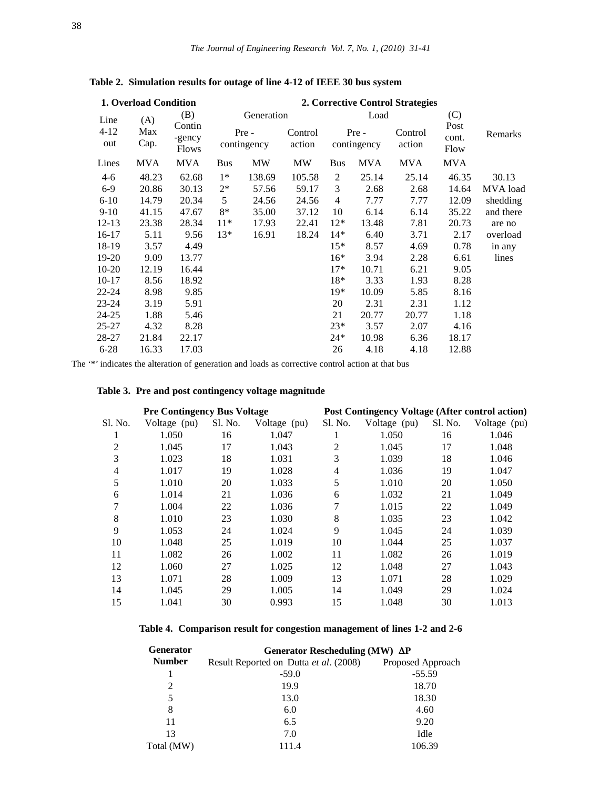| 1. Overload Condition |             |                                  |            |                      |                   |                |                      | 2. Corrective Control Strategies |                       |           |
|-----------------------|-------------|----------------------------------|------------|----------------------|-------------------|----------------|----------------------|----------------------------------|-----------------------|-----------|
| Line                  | (A)         | (B)                              |            | Generation           |                   |                | Load                 |                                  | (C)                   |           |
| $4 - 12$<br>out       | Max<br>Cap. | Contin<br>-gency<br><b>Flows</b> |            | Pre -<br>contingency | Control<br>action |                | Pre -<br>contingency | Control<br>action                | Post<br>cont.<br>Flow | Remarks   |
| Lines                 | <b>MVA</b>  | <b>MVA</b>                       | <b>Bus</b> | MW                   | MW                | <b>Bus</b>     | <b>MVA</b>           | MVA                              | <b>MVA</b>            |           |
| $4-6$                 | 48.23       | 62.68                            | $1*$       | 138.69               | 105.58            | $\overline{c}$ | 25.14                | 25.14                            | 46.35                 | 30.13     |
| $6-9$                 | 20.86       | 30.13                            | $2^*$      | 57.56                | 59.17             | 3              | 2.68                 | 2.68                             | 14.64                 | MVA load  |
| $6-10$                | 14.79       | 20.34                            | 5          | 24.56                | 24.56             | 4              | 7.77                 | 7.77                             | 12.09                 | shedding  |
| $9-10$                | 41.15       | 47.67                            | 8*         | 35.00                | 37.12             | 10             | 6.14                 | 6.14                             | 35.22                 | and there |
| 12-13                 | 23.38       | 28.34                            | $11*$      | 17.93                | 22.41             | $12*$          | 13.48                | 7.81                             | 20.73                 | are no    |
| $16-17$               | 5.11        | 9.56                             | $13*$      | 16.91                | 18.24             | $14*$          | 6.40                 | 3.71                             | 2.17                  | overload  |
| 18-19                 | 3.57        | 4.49                             |            |                      |                   | $15*$          | 8.57                 | 4.69                             | 0.78                  | in any    |
| 19-20                 | 9.09        | 13.77                            |            |                      |                   | $16*$          | 3.94                 | 2.28                             | 6.61                  | lines     |
| $10-20$               | 12.19       | 16.44                            |            |                      |                   | $17*$          | 10.71                | 6.21                             | 9.05                  |           |
| $10-17$               | 8.56        | 18.92                            |            |                      |                   | 18*            | 3.33                 | 1.93                             | 8.28                  |           |
| $22 - 24$             | 8.98        | 9.85                             |            |                      |                   | $19*$          | 10.09                | 5.85                             | 8.16                  |           |
| $23 - 24$             | 3.19        | 5.91                             |            |                      |                   | 20             | 2.31                 | 2.31                             | 1.12                  |           |
| 24-25                 | 1.88        | 5.46                             |            |                      |                   | 21             | 20.77                | 20.77                            | 1.18                  |           |
| $25 - 27$             | 4.32        | 8.28                             |            |                      |                   | $23*$          | 3.57                 | 2.07                             | 4.16                  |           |
| 28-27                 | 21.84       | 22.17                            |            |                      |                   | $24*$          | 10.98                | 6.36                             | 18.17                 |           |
| $6 - 28$              | 16.33       | 17.03                            |            |                      |                   | 26             | 4.18                 | 4.18                             | 12.88                 |           |

**Table 2. Simulation results for outage of line 4-12 of IEEE 30 bus system**

The '\*' indicates the alteration of generation and loads as corrective control action at that bus

# **Table 3. Pre and post contingency voltage magnitude**

|         | <b>Pre Contingency Bus Voltage</b> |         |              | Post Contingency Voltage (After control action) |              |         |              |
|---------|------------------------------------|---------|--------------|-------------------------------------------------|--------------|---------|--------------|
| Sl. No. | Voltage (pu)                       | Sl. No. | Voltage (pu) | Sl. No.                                         | Voltage (pu) | Sl. No. | Voltage (pu) |
|         | 1.050                              | 16      | 1.047        |                                                 | 1.050        | 16      | 1.046        |
| 2       | 1.045                              | 17      | 1.043        | 2                                               | 1.045        | 17      | 1.048        |
| 3       | 1.023                              | 18      | 1.031        | 3                                               | 1.039        | 18      | 1.046        |
| 4       | 1.017                              | 19      | 1.028        | 4                                               | 1.036        | 19      | 1.047        |
| 5       | 1.010                              | 20      | 1.033        | 5                                               | 1.010        | 20      | 1.050        |
| 6       | 1.014                              | 21      | 1.036        | 6                                               | 1.032        | 21      | 1.049        |
| 7       | 1.004                              | 22      | 1.036        |                                                 | 1.015        | 22      | 1.049        |
| 8       | 1.010                              | 23      | 1.030        | 8                                               | 1.035        | 23      | 1.042        |
| 9       | 1.053                              | 24      | 1.024        | 9                                               | 1.045        | 24      | 1.039        |
| 10      | 1.048                              | 25      | 1.019        | 10                                              | 1.044        | 25      | 1.037        |
| 11      | 1.082                              | 26      | 1.002        | 11                                              | 1.082        | 26      | 1.019        |
| 12      | 1.060                              | 27      | 1.025        | 12                                              | 1.048        | 27      | 1.043        |
| 13      | 1.071                              | 28      | 1.009        | 13                                              | 1.071        | 28      | 1.029        |
| 14      | 1.045                              | 29      | 1.005        | 14                                              | 1.049        | 29      | 1.024        |
| 15      | 1.041                              | 30      | 0.993        | 15                                              | 1.048        | 30      | 1.013        |

**Table 4. Comparison result for congestion management of lines 1-2 and 2-6**

| <b>Generator</b> | Generator Rescheduling (MW) $\Delta P$ |                   |  |  |  |  |  |
|------------------|----------------------------------------|-------------------|--|--|--|--|--|
| <b>Number</b>    | Result Reported on Dutta et al. (2008) | Proposed Approach |  |  |  |  |  |
|                  | $-59.0$                                | $-55.59$          |  |  |  |  |  |
| 2                | 19.9                                   | 18.70             |  |  |  |  |  |
| 5                | 13.0                                   | 18.30             |  |  |  |  |  |
| 8                | 6.0                                    | 4.60              |  |  |  |  |  |
| 11               | 6.5                                    | 9.20              |  |  |  |  |  |
| 13               | 7.0                                    | Idle              |  |  |  |  |  |
| Total (MW)       | 111.4                                  | 106.39            |  |  |  |  |  |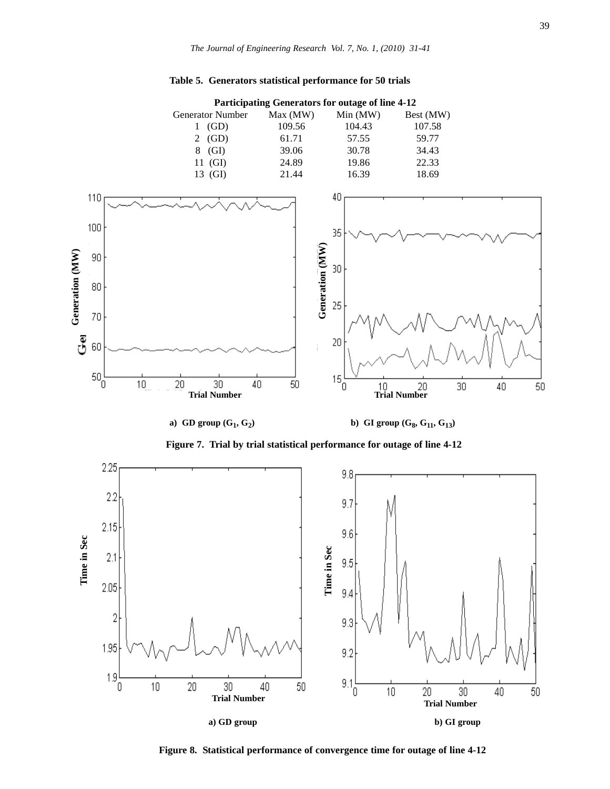### **Table 5. Generators statistical performance for 50 trials**



**a)** GD group  $(G_1, G_2)$  **b)** GI group  $(G_8, G_{11}, G_{13})$ 

**Figure 7. Trial by trial statistical performance for outage of line 4-12**



**Figure 8. Statistical performance of convergence time for outage of line 4-12**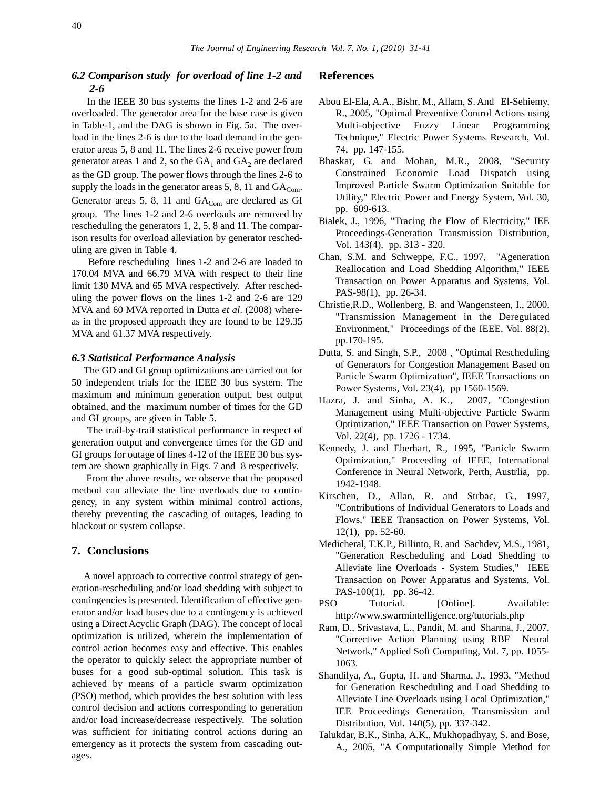# *6.2 Comparison study for overload of line 1-2 and 2-6*

In the IEEE 30 bus systems the lines 1-2 and 2-6 are overloaded. The generator area for the base case is given in Table-1, and the DAG is shown in Fig. 5a. The overload in the lines 2-6 is due to the load demand in the generator areas 5, 8 and 11. The lines 2-6 receive power from generator areas 1 and 2, so the  $GA_1$  and  $GA_2$  are declared as the GD group. The power flows through the lines 2-6 to supply the loads in the generator areas 5, 8, 11 and  $GA_{Com}$ . Generator areas 5, 8, 11 and  $GA_{Com}$  are declared as GI group. The lines 1-2 and 2-6 overloads are removed by rescheduling the generators 1, 2, 5, 8 and 11. The comparison results for overload alleviation by generator rescheduling are given in Table 4.

Before rescheduling lines 1-2 and 2-6 are loaded to 170.04 MVA and 66.79 MVA with respect to their line limit 130 MVA and 65 MVA respectively. After rescheduling the power flows on the lines 1-2 and 2-6 are 129 MVA and 60 MVA reported in Dutta *et al*. (2008) whereas in the proposed approach they are found to be 129.35 MVA and 61.37 MVA respectively.

#### *6.3 Statistical Performance Analysis*

The GD and GI group optimizations are carried out for 50 independent trials for the IEEE 30 bus system. The maximum and minimum generation output, best output obtained, and the maximum number of times for the GD and GI groups, are given in Table 5.

The trail-by-trail statistical performance in respect of generation output and convergence times for the GD and GI groups for outage of lines 4-12 of the IEEE 30 bus system are shown graphically in Figs. 7 and 8 respectively.

From the above results, we observe that the proposed method can alleviate the line overloads due to contingency, in any system within minimal control actions, thereby preventing the cascading of outages, leading to blackout or system collapse.

# **7. Conclusions**

A novel approach to corrective control strategy of generation-rescheduling and/or load shedding with subject to contingencies is presented. Identification of effective generator and/or load buses due to a contingency is achieved using a Direct Acyclic Graph (DAG). The concept of local optimization is utilized, wherein the implementation of control action becomes easy and effective. This enables the operator to quickly select the appropriate number of buses for a good sub-optimal solution. This task is achieved by means of a particle swarm optimization (PSO) method, which provides the best solution with less control decision and actions corresponding to generation and/or load increase/decrease respectively. The solution was sufficient for initiating control actions during an emergency as it protects the system from cascading outages.

### **References**

- Abou El-Ela, A.A., Bishr, M., Allam, S. And El-Sehiemy, R., 2005, "Optimal Preventive Control Actions using Multi-objective Fuzzy Linear Programming Technique," Electric Power Systems Research, Vol. 74, pp. 147-155.
- Bhaskar, G. and Mohan, M.R., 2008, "Security Constrained Economic Load Dispatch using Improved Particle Swarm Optimization Suitable for Utility," Electric Power and Energy System, Vol. 30, pp. 609-613.
- Bialek, J., 1996, "Tracing the Flow of Electricity," IEE Proceedings-Generation Transmission Distribution, Vol. 143(4), pp. 313 - 320.
- Chan, S.M. and Schweppe, F.C., 1997, "Ageneration Reallocation and Load Shedding Algorithm," IEEE Transaction on Power Apparatus and Systems, Vol. PAS-98(1), pp. 26-34.
- Christie,R.D., Wollenberg, B. and Wangensteen, I., 2000, "Transmission Management in the Deregulated Environment," Proceedings of the IEEE, Vol. 88(2), pp.170-195.
- Dutta, S. and Singh, S.P., 2008 , "Optimal Rescheduling of Generators for Congestion Management Based on Particle Swarm Optimization", IEEE Transactions on Power Systems, Vol. 23(4), pp 1560-1569.
- Hazra, J. and Sinha, A. K., 2007, "Congestion Management using Multi-objective Particle Swarm Optimization," IEEE Transaction on Power Systems, Vol. 22(4), pp. 1726 - 1734.
- Kennedy, J. and Eberhart, R., 1995, "Particle Swarm Optimization," Proceeding of IEEE, International Conference in Neural Network, Perth, Austrlia, pp. 1942-1948.
- Kirschen, D., Allan, R. and Strbac, G., 1997, "Contributions of Individual Generators to Loads and Flows," IEEE Transaction on Power Systems, Vol. 12(1), pp. 52-60.
- Medicheral, T.K.P., Billinto, R. and Sachdev, M.S., 1981, "Generation Rescheduling and Load Shedding to Alleviate line Overloads - System Studies," IEEE Transaction on Power Apparatus and Systems, Vol. PAS-100(1), pp. 36-42.
- PSO Tutorial. [Online]. Available: http://www.swarmintelligence.org/tutorials.php
- Ram, D., Srivastava, L., Pandit, M. and Sharma, J., 2007, "Corrective Action Planning using RBF Neural Network," Applied Soft Computing, Vol. 7, pp. 1055- 1063.
- Shandilya, A., Gupta, H. and Sharma, J., 1993, "Method for Generation Rescheduling and Load Shedding to Alleviate Line Overloads using Local Optimization," IEE Proceedings Generation, Transmission and Distribution, Vol. 140(5), pp. 337-342.
- Talukdar, B.K., Sinha, A.K., Mukhopadhyay, S. and Bose, A., 2005, "A Computationally Simple Method for